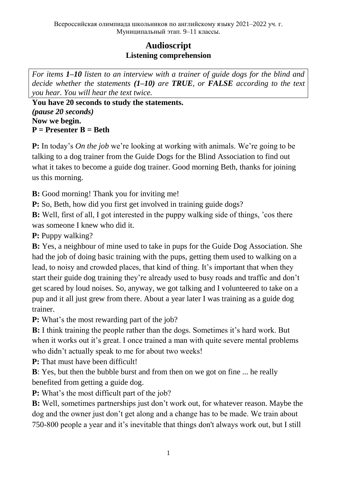## **Audioscript Listening comprehension**

*For items 1–10 listen to an interview with a trainer of guide dogs for the blind and decide whether the statements (1–10) are TRUE, or FALSE according to the text you hear. You will hear the text twice.*

**You have 20 seconds to study the statements.** *(pause 20 seconds)* **Now we begin.**   $P =$ **Presenter B** = **Beth** 

**P:** In today's *On the job* we're looking at working with animals. We're going to be talking to a dog trainer from the Guide Dogs for the Blind Association to find out what it takes to become a guide dog trainer. Good morning Beth, thanks for joining us this morning.

**B:** Good morning! Thank you for inviting me!

**P:** So, Beth, how did you first get involved in training guide dogs?

**B:** Well, first of all, I got interested in the puppy walking side of things, 'cos there was someone I knew who did it.

**P:** Puppy walking?

**B:** Yes, a neighbour of mine used to take in pups for the Guide Dog Association. She had the job of doing basic training with the pups, getting them used to walking on a lead, to noisy and crowded places, that kind of thing. It's important that when they start their guide dog training they're already used to busy roads and traffic and don't get scared by loud noises. So, anyway, we got talking and I volunteered to take on a pup and it all just grew from there. About a year later I was training as a guide dog trainer.

**P:** What's the most rewarding part of the job?

**B:** I think training the people rather than the dogs. Sometimes it's hard work. But when it works out it's great. I once trained a man with quite severe mental problems who didn't actually speak to me for about two weeks!

**P:** That must have been difficult!

**B**: Yes, but then the bubble burst and from then on we got on fine ... he really benefited from getting a guide dog.

**P:** What's the most difficult part of the job?

**B:** Well, sometimes partnerships just don't work out, for whatever reason. Maybe the dog and the owner just don't get along and a change has to be made. We train about 750-800 people a year and it's inevitable that things don't always work out, but I still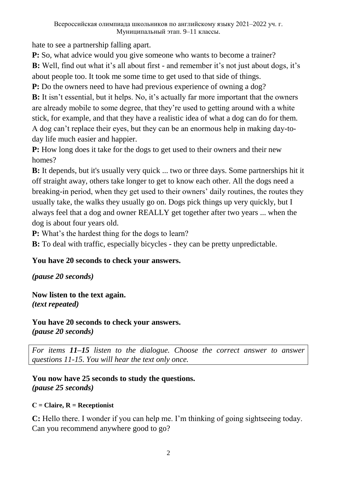hate to see a partnership falling apart.

**P:** So, what advice would you give someone who wants to become a trainer? **B:** Well, find out what it's all about first - and remember it's not just about dogs, it's about people too. It took me some time to get used to that side of things.

**P:** Do the owners need to have had previous experience of owning a dog?

**B:** It isn't essential, but it helps. No, it's actually far more important that the owners are already mobile to some degree, that they're used to getting around with a white stick, for example, and that they have a realistic idea of what a dog can do for them. A dog can't replace their eyes, but they can be an enormous help in making day-today life much easier and happier.

**P:** How long does it take for the dogs to get used to their owners and their new homes?

**B:** It depends, but it's usually very quick ... two or three days. Some partnerships hit it off straight away, others take longer to get to know each other. All the dogs need a breaking-in period, when they get used to their owners' daily routines, the routes they usually take, the walks they usually go on. Dogs pick things up very quickly, but I always feel that a dog and owner REALLY get together after two years ... when the dog is about four years old.

**P:** What's the hardest thing for the dogs to learn?

**B:** To deal with traffic, especially bicycles - they can be pretty unpredictable.

## **You have 20 seconds to check your answers.**

*(pause 20 seconds)*

**Now listen to the text again.** *(text repeated)*

**You have 20 seconds to check your answers.** *(pause 20 seconds)*

*For items 11–15 listen to the dialogue. Choose the correct answer to answer questions 11-15. You will hear the text only once.*

## **You now have 25 seconds to study the questions.** *(pause 25 seconds)*

## **С = Claire, R = Receptionist**

**C:** Hello there. I wonder if you can help me. I'm thinking of going sightseeing today. Can you recommend anywhere good to go?